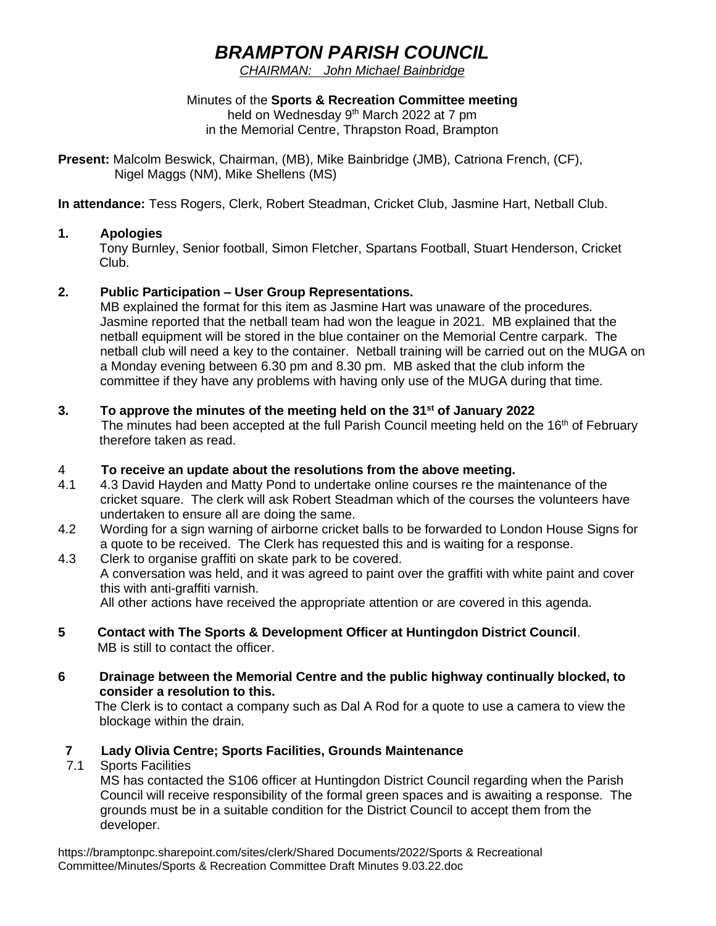# *BRAMPTON PARISH COUNCIL*

*CHAIRMAN: John Michael Bainbridge*

Minutes of the **Sports & Recreation Committee meeting** held on Wednesday 9<sup>th</sup> March 2022 at 7 pm in the Memorial Centre, Thrapston Road, Brampton

**Present:** Malcolm Beswick, Chairman, (MB), Mike Bainbridge (JMB), Catriona French, (CF), Nigel Maggs (NM), Mike Shellens (MS)

**In attendance:** Tess Rogers, Clerk, Robert Steadman, Cricket Club, Jasmine Hart, Netball Club.

### **1. Apologies**

Tony Burnley, Senior football, Simon Fletcher, Spartans Football, Stuart Henderson, Cricket Club.

### **2. Public Participation – User Group Representations.**

MB explained the format for this item as Jasmine Hart was unaware of the procedures. Jasmine reported that the netball team had won the league in 2021. MB explained that the netball equipment will be stored in the blue container on the Memorial Centre carpark. The netball club will need a key to the container. Netball training will be carried out on the MUGA on a Monday evening between 6.30 pm and 8.30 pm. MB asked that the club inform the committee if they have any problems with having only use of the MUGA during that time.

### **3. To approve the minutes of the meeting held on the 31st of January 2022**

The minutes had been accepted at the full Parish Council meeting held on the 16<sup>th</sup> of February therefore taken as read.

### 4 **To receive an update about the resolutions from the above meeting.**

- 4.1 4.3 David Hayden and Matty Pond to undertake online courses re the maintenance of the cricket square. The clerk will ask Robert Steadman which of the courses the volunteers have undertaken to ensure all are doing the same.
- 4.2 Wording for a sign warning of airborne cricket balls to be forwarded to London House Signs for a quote to be received. The Clerk has requested this and is waiting for a response.
- 4.3 Clerk to organise graffiti on skate park to be covered. A conversation was held, and it was agreed to paint over the graffiti with white paint and cover this with anti-graffiti varnish. All other actions have received the appropriate attention or are covered in this agenda.

### **5 Contact with The Sports & Development Officer at Huntingdon District Council**. MB is still to contact the officer.

**6 Drainage between the Memorial Centre and the public highway continually blocked, to consider a resolution to this.**

The Clerk is to contact a company such as Dal A Rod for a quote to use a camera to view the blockage within the drain.

# **7 Lady Olivia Centre; Sports Facilities, Grounds Maintenance**

**Sports Facilities** 

MS has contacted the S106 officer at Huntingdon District Council regarding when the Parish Council will receive responsibility of the formal green spaces and is awaiting a response. The grounds must be in a suitable condition for the District Council to accept them from the developer.

https://bramptonpc.sharepoint.com/sites/clerk/Shared Documents/2022/Sports & Recreational Committee/Minutes/Sports & Recreation Committee Draft Minutes 9.03.22.doc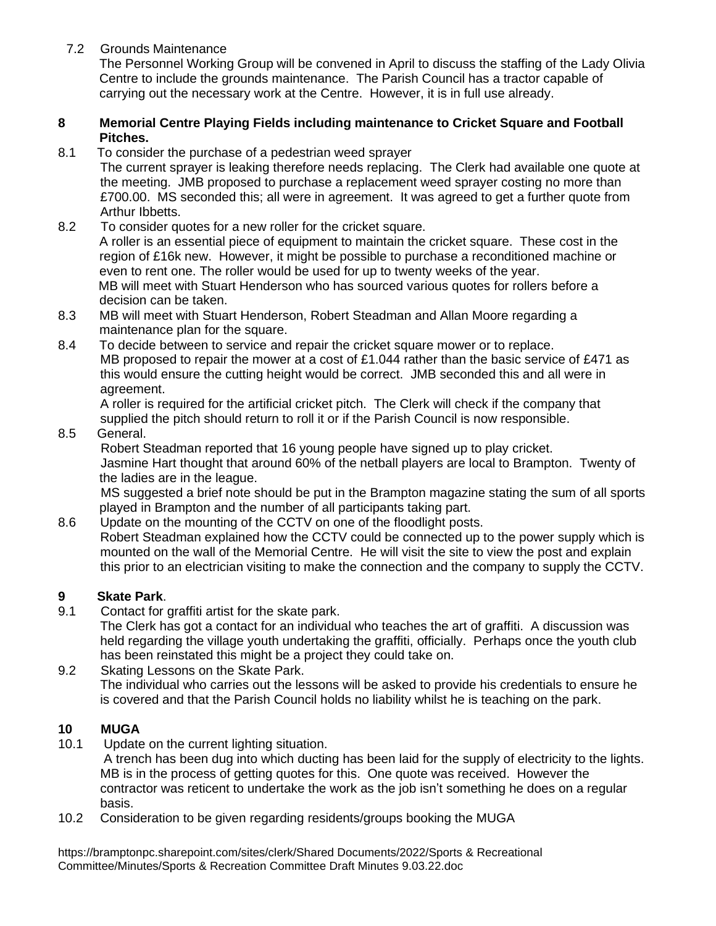7.2 Grounds Maintenance

The Personnel Working Group will be convened in April to discuss the staffing of the Lady Olivia Centre to include the grounds maintenance. The Parish Council has a tractor capable of carrying out the necessary work at the Centre. However, it is in full use already.

### **8 Memorial Centre Playing Fields including maintenance to Cricket Square and Football Pitches.**

8.1 To consider the purchase of a pedestrian weed sprayer

The current sprayer is leaking therefore needs replacing. The Clerk had available one quote at the meeting. JMB proposed to purchase a replacement weed sprayer costing no more than £700.00. MS seconded this; all were in agreement. It was agreed to get a further quote from Arthur Ibbetts.

- 8.2 To consider quotes for a new roller for the cricket square. A roller is an essential piece of equipment to maintain the cricket square. These cost in the region of £16k new. However, it might be possible to purchase a reconditioned machine or even to rent one. The roller would be used for up to twenty weeks of the year. MB will meet with Stuart Henderson who has sourced various quotes for rollers before a decision can be taken.
- 8.3 MB will meet with Stuart Henderson, Robert Steadman and Allan Moore regarding a maintenance plan for the square.
- 8.4 To decide between to service and repair the cricket square mower or to replace. MB proposed to repair the mower at a cost of £1.044 rather than the basic service of £471 as this would ensure the cutting height would be correct. JMB seconded this and all were in agreement.

A roller is required for the artificial cricket pitch. The Clerk will check if the company that supplied the pitch should return to roll it or if the Parish Council is now responsible.

8.5 General.

Robert Steadman reported that 16 young people have signed up to play cricket.

 Jasmine Hart thought that around 60% of the netball players are local to Brampton. Twenty of the ladies are in the league.

 MS suggested a brief note should be put in the Brampton magazine stating the sum of all sports played in Brampton and the number of all participants taking part.

8.6 Update on the mounting of the CCTV on one of the floodlight posts. Robert Steadman explained how the CCTV could be connected up to the power supply which is mounted on the wall of the Memorial Centre. He will visit the site to view the post and explain this prior to an electrician visiting to make the connection and the company to supply the CCTV.

## **9 Skate Park**.

9.1 Contact for graffiti artist for the skate park.

The Clerk has got a contact for an individual who teaches the art of graffiti. A discussion was held regarding the village youth undertaking the graffiti, officially. Perhaps once the youth club has been reinstated this might be a project they could take on.

9.2 Skating Lessons on the Skate Park. The individual who carries out the lessons will be asked to provide his credentials to ensure he is covered and that the Parish Council holds no liability whilst he is teaching on the park.

### **10 MUGA**

10.1 Update on the current lighting situation.

A trench has been dug into which ducting has been laid for the supply of electricity to the lights. MB is in the process of getting quotes for this. One quote was received. However the contractor was reticent to undertake the work as the job isn't something he does on a regular basis.

10.2 Consideration to be given regarding residents/groups booking the MUGA

https://bramptonpc.sharepoint.com/sites/clerk/Shared Documents/2022/Sports & Recreational Committee/Minutes/Sports & Recreation Committee Draft Minutes 9.03.22.doc